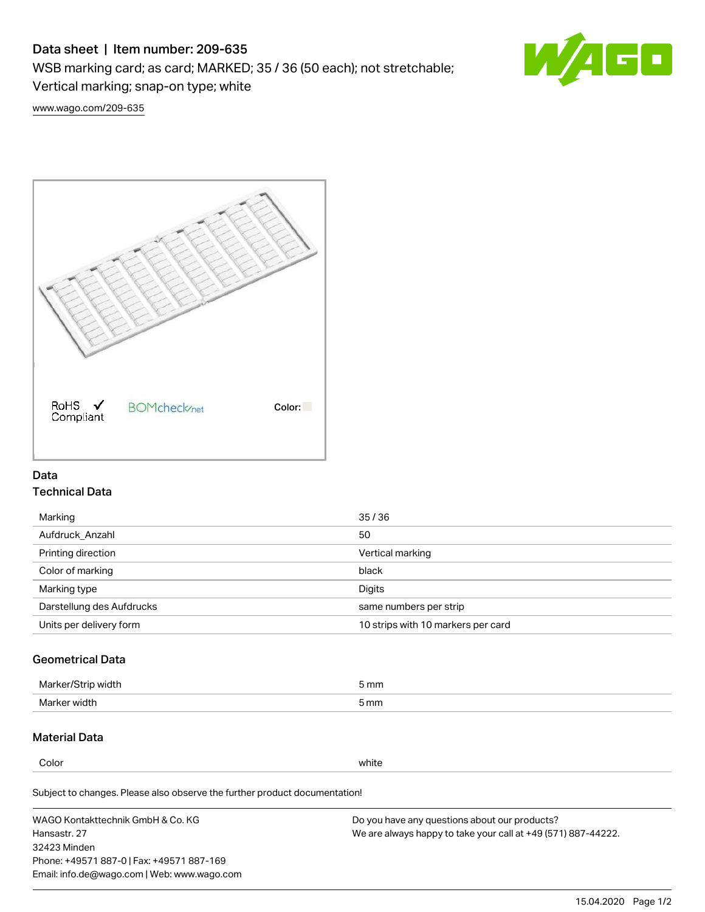# Data sheet | Item number: 209-635

WSB marking card; as card; MARKED; 35 / 36 (50 each); not stretchable;

Vertical marking; snap-on type; white

60

[www.wago.com/209-635](http://www.wago.com/209-635)



## Data Technical Data

| Marking                   | 35/36                              |
|---------------------------|------------------------------------|
| Aufdruck Anzahl           | 50                                 |
| Printing direction        | Vertical marking                   |
| Color of marking          | black                              |
| Marking type              | Digits                             |
| Darstellung des Aufdrucks | same numbers per strip             |
| Units per delivery form   | 10 strips with 10 markers per card |

## Geometrical Data

| width        | i mm |
|--------------|------|
| Marker/      | -    |
| Marker width | 5 mm |

## Material Data

Color white

Subject to changes. Please also observe the further product documentation!

WAGO Kontakttechnik GmbH & Co. KG Hansastr. 27 32423 Minden Phone: +49571 887-0 | Fax: +49571 887-169 Email: info.de@wago.com | Web: www.wago.com Do you have any questions about our products? We are always happy to take your call at +49 (571) 887-44222.